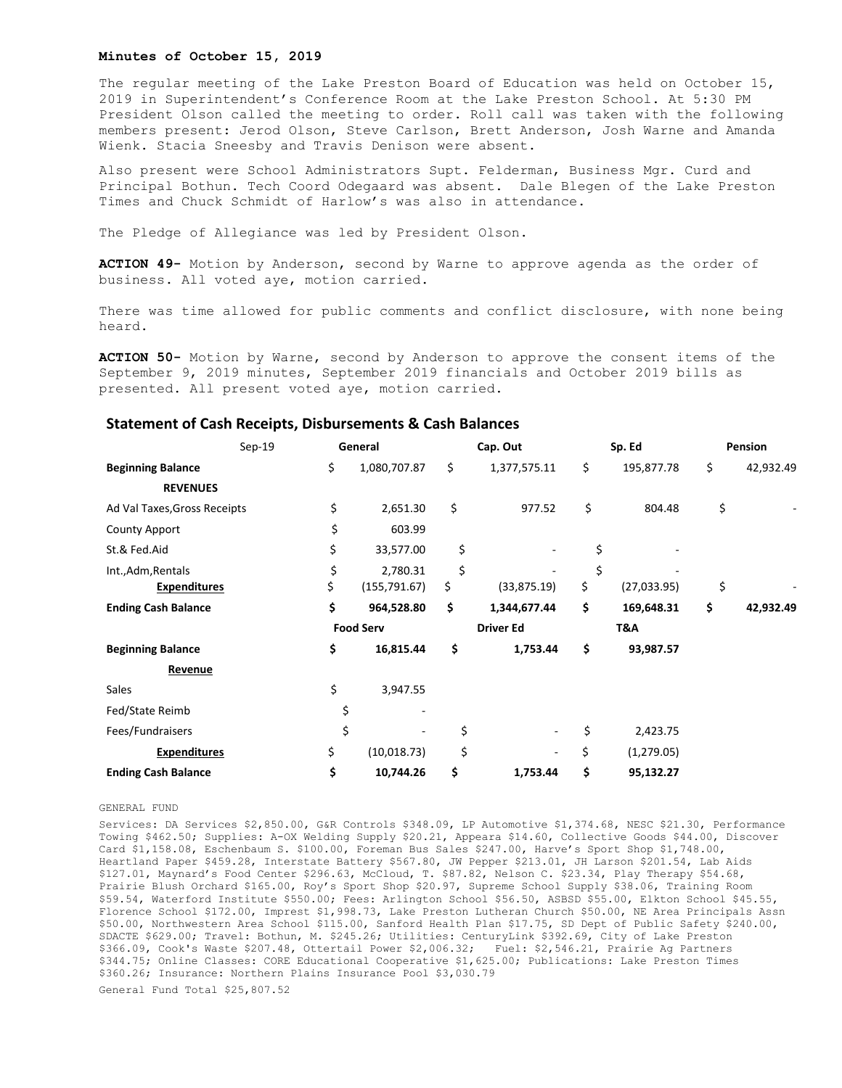## **Minutes of October 15, 2019**

The regular meeting of the Lake Preston Board of Education was held on October 15, 2019 in Superintendent's Conference Room at the Lake Preston School. At 5:30 PM President Olson called the meeting to order. Roll call was taken with the following members present: Jerod Olson, Steve Carlson, Brett Anderson, Josh Warne and Amanda Wienk. Stacia Sneesby and Travis Denison were absent.

Also present were School Administrators Supt. Felderman, Business Mgr. Curd and Principal Bothun. Tech Coord Odegaard was absent. Dale Blegen of the Lake Preston Times and Chuck Schmidt of Harlow's was also in attendance.

The Pledge of Allegiance was led by President Olson.

**ACTION 49-** Motion by Anderson, second by Warne to approve agenda as the order of business. All voted aye, motion carried.

There was time allowed for public comments and conflict disclosure, with none being heard.

**ACTION 50-** Motion by Warne, second by Anderson to approve the consent items of the September 9, 2019 minutes, September 2019 financials and October 2019 bills as presented. All present voted aye, motion carried.

|                              | $Sep-19$ | General          |               | Cap. Out         |                          | Sp. Ed |             | <b>Pension</b> |           |
|------------------------------|----------|------------------|---------------|------------------|--------------------------|--------|-------------|----------------|-----------|
| <b>Beginning Balance</b>     |          | \$               | 1,080,707.87  | \$               | 1,377,575.11             | \$     | 195,877.78  | \$             | 42,932.49 |
| <b>REVENUES</b>              |          |                  |               |                  |                          |        |             |                |           |
| Ad Val Taxes, Gross Receipts |          | \$               | 2,651.30      | \$               | 977.52                   | \$     | 804.48      | \$             |           |
| <b>County Apport</b>         |          | \$               | 603.99        |                  |                          |        |             |                |           |
| St.& Fed.Aid                 |          | \$               | 33,577.00     | \$               | $\overline{\phantom{m}}$ | \$     |             |                |           |
| Int., Adm, Rentals           |          | \$               | 2,780.31      | \$               |                          | \$     |             |                |           |
| <b>Expenditures</b>          |          | \$               | (155, 791.67) | \$               | (33,875.19)              | \$     | (27,033.95) | \$             |           |
| <b>Ending Cash Balance</b>   |          | \$               | 964,528.80    | \$               | 1,344,677.44             | \$     | 169,648.31  | \$             | 42,932.49 |
|                              |          | <b>Food Serv</b> |               | <b>Driver Ed</b> |                          | T&A    |             |                |           |
| <b>Beginning Balance</b>     |          | \$               | 16,815.44     | \$               | 1,753.44                 | \$     | 93,987.57   |                |           |
| Revenue                      |          |                  |               |                  |                          |        |             |                |           |
| Sales                        |          | \$               | 3,947.55      |                  |                          |        |             |                |           |
| Fed/State Reimb              |          | \$               |               |                  |                          |        |             |                |           |
| Fees/Fundraisers             |          | \$               |               | \$               |                          | \$     | 2,423.75    |                |           |
| <b>Expenditures</b>          |          | \$               | (10, 018.73)  | \$               | ٠                        | \$     | (1, 279.05) |                |           |
| <b>Ending Cash Balance</b>   |          | \$               | 10,744.26     | \$               | 1,753.44                 | \$     | 95,132.27   |                |           |

## **Statement of Cash Receipts, Disbursements & Cash Balances**

GENERAL FUND

Services: DA Services \$2,850.00, G&R Controls \$348.09, LP Automotive \$1,374.68, NESC \$21.30, Performance Towing \$462.50; Supplies: A-OX Welding Supply \$20.21, Appeara \$14.60, Collective Goods \$44.00, Discover Card \$1,158.08, Eschenbaum S. \$100.00, Foreman Bus Sales \$247.00, Harve's Sport Shop \$1,748.00, Heartland Paper \$459.28, Interstate Battery \$567.80, JW Pepper \$213.01, JH Larson \$201.54, Lab Aids \$127.01, Maynard's Food Center \$296.63, McCloud, T. \$87.82, Nelson C. \$23.34, Play Therapy \$54.68, Prairie Blush Orchard \$165.00, Roy's Sport Shop \$20.97, Supreme School Supply \$38.06, Training Room \$59.54, Waterford Institute \$550.00; Fees: Arlington School \$56.50, ASBSD \$55.00, Elkton School \$45.55, Florence School \$172.00, Imprest \$1,998.73, Lake Preston Lutheran Church \$50.00, NE Area Principals Assn \$50.00, Northwestern Area School \$115.00, Sanford Health Plan \$17.75, SD Dept of Public Safety \$240.00, SDACTE \$629.00; Travel: Bothun, M. \$245.26; Utilities: CenturyLink \$392.69, City of Lake Preston \$366.09, Cook's Waste \$207.48, Ottertail Power \$2,006.32; Fuel: \$2,546.21, Prairie Ag Partners \$344.75; Online Classes: CORE Educational Cooperative \$1,625.00; Publications: Lake Preston Times \$360.26; Insurance: Northern Plains Insurance Pool \$3,030.79 General Fund Total \$25,807.52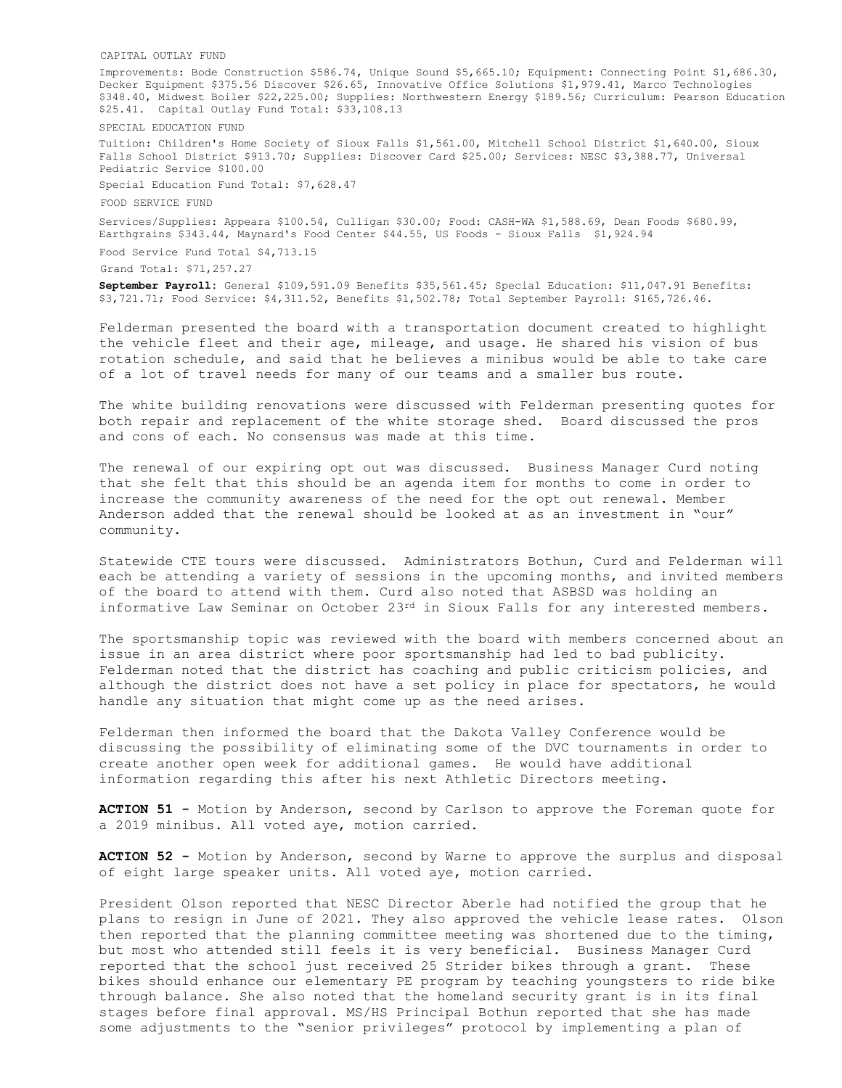CAPITAL OUTLAY FUND

Improvements: Bode Construction \$586.74, Unique Sound \$5,665.10; Equipment: Connecting Point \$1,686.30, Decker Equipment \$375.56 Discover \$26.65, Innovative Office Solutions \$1,979.41, Marco Technologies \$348.40, Midwest Boiler \$22,225.00; Supplies: Northwestern Energy \$189.56; Curriculum: Pearson Education \$25.41. Capital Outlay Fund Total: \$33,108.13

SPECIAL EDUCATION FUND

Tuition: Children's Home Society of Sioux Falls \$1,561.00, Mitchell School District \$1,640.00, Sioux Falls School District \$913.70; Supplies: Discover Card \$25.00; Services: NESC \$3,388.77, Universal Pediatric Service \$100.00

Special Education Fund Total: \$7,628.47

FOOD SERVICE FUND

Services/Supplies: Appeara \$100.54, Culligan \$30.00; Food: CASH-WA \$1,588.69, Dean Foods \$680.99, Earthgrains \$343.44, Maynard's Food Center \$44.55, US Foods - Sioux Falls \$1,924.94

Food Service Fund Total \$4,713.15

Grand Total: \$71,257.27

**September Payroll:** General \$109,591.09 Benefits \$35,561.45; Special Education: \$11,047.91 Benefits: \$3,721.71; Food Service: \$4,311.52, Benefits \$1,502.78; Total September Payroll: \$165,726.46.

Felderman presented the board with a transportation document created to highlight the vehicle fleet and their age, mileage, and usage. He shared his vision of bus rotation schedule, and said that he believes a minibus would be able to take care of a lot of travel needs for many of our teams and a smaller bus route.

The white building renovations were discussed with Felderman presenting quotes for both repair and replacement of the white storage shed. Board discussed the pros and cons of each. No consensus was made at this time.

The renewal of our expiring opt out was discussed. Business Manager Curd noting that she felt that this should be an agenda item for months to come in order to increase the community awareness of the need for the opt out renewal. Member Anderson added that the renewal should be looked at as an investment in "our" community.

Statewide CTE tours were discussed. Administrators Bothun, Curd and Felderman will each be attending a variety of sessions in the upcoming months, and invited members of the board to attend with them. Curd also noted that ASBSD was holding an informative Law Seminar on October  $23^{rd}$  in Sioux Falls for any interested members.

The sportsmanship topic was reviewed with the board with members concerned about an issue in an area district where poor sportsmanship had led to bad publicity. Felderman noted that the district has coaching and public criticism policies, and although the district does not have a set policy in place for spectators, he would handle any situation that might come up as the need arises.

Felderman then informed the board that the Dakota Valley Conference would be discussing the possibility of eliminating some of the DVC tournaments in order to create another open week for additional games. He would have additional information regarding this after his next Athletic Directors meeting.

**ACTION 51 -** Motion by Anderson, second by Carlson to approve the Foreman quote for a 2019 minibus. All voted aye, motion carried.

**ACTION 52 -** Motion by Anderson, second by Warne to approve the surplus and disposal of eight large speaker units. All voted aye, motion carried.

President Olson reported that NESC Director Aberle had notified the group that he plans to resign in June of 2021. They also approved the vehicle lease rates. Olson then reported that the planning committee meeting was shortened due to the timing, but most who attended still feels it is very beneficial. Business Manager Curd reported that the school just received 25 Strider bikes through a grant. These bikes should enhance our elementary PE program by teaching youngsters to ride bike through balance. She also noted that the homeland security grant is in its final stages before final approval. MS/HS Principal Bothun reported that she has made some adjustments to the "senior privileges" protocol by implementing a plan of